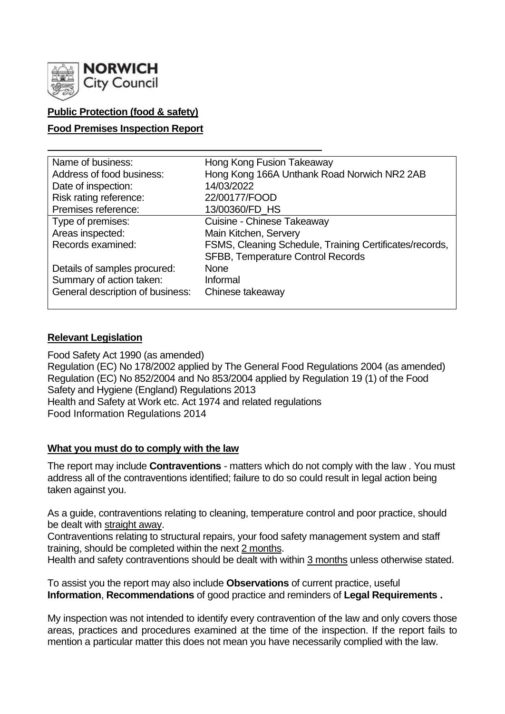

# **Public Protection (food & safety)**

## **Food Premises Inspection Report**

| Name of business:                | Hong Kong Fusion Takeaway                               |
|----------------------------------|---------------------------------------------------------|
| Address of food business:        | Hong Kong 166A Unthank Road Norwich NR2 2AB             |
| Date of inspection:              | 14/03/2022                                              |
| Risk rating reference:           | 22/00177/FOOD                                           |
| Premises reference:              | 13/00360/FD_HS                                          |
| Type of premises:                | Cuisine - Chinese Takeaway                              |
| Areas inspected:                 | Main Kitchen, Servery                                   |
| Records examined:                | FSMS, Cleaning Schedule, Training Certificates/records, |
|                                  | <b>SFBB, Temperature Control Records</b>                |
| Details of samples procured:     | <b>None</b>                                             |
| Summary of action taken:         | Informal                                                |
| General description of business: | Chinese takeaway                                        |
|                                  |                                                         |

## **Relevant Legislation**

Food Safety Act 1990 (as amended) Regulation (EC) No 178/2002 applied by The General Food Regulations 2004 (as amended) Regulation (EC) No 852/2004 and No 853/2004 applied by Regulation 19 (1) of the Food Safety and Hygiene (England) Regulations 2013 Health and Safety at Work etc. Act 1974 and related regulations Food Information Regulations 2014

## **What you must do to comply with the law**

The report may include **Contraventions** - matters which do not comply with the law . You must address all of the contraventions identified; failure to do so could result in legal action being taken against you.

As a guide, contraventions relating to cleaning, temperature control and poor practice, should be dealt with straight away.

Contraventions relating to structural repairs, your food safety management system and staff training, should be completed within the next 2 months.

Health and safety contraventions should be dealt with within 3 months unless otherwise stated.

To assist you the report may also include **Observations** of current practice, useful **Information**, **Recommendations** of good practice and reminders of **Legal Requirements .**

My inspection was not intended to identify every contravention of the law and only covers those areas, practices and procedures examined at the time of the inspection. If the report fails to mention a particular matter this does not mean you have necessarily complied with the law.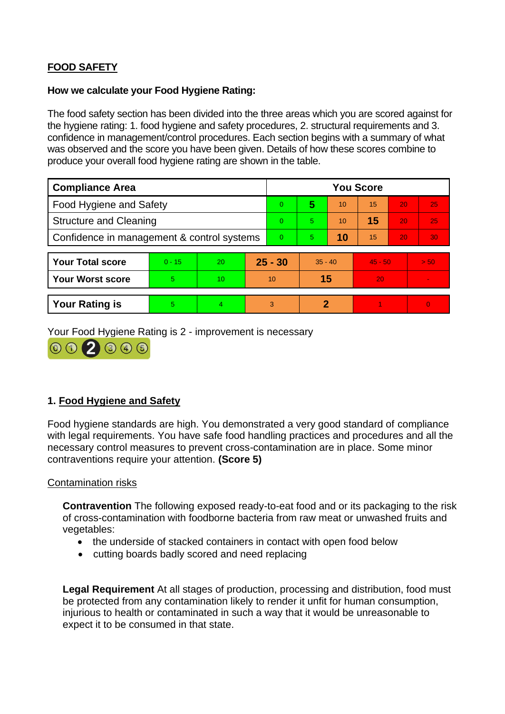# **FOOD SAFETY**

#### **How we calculate your Food Hygiene Rating:**

The food safety section has been divided into the three areas which you are scored against for the hygiene rating: 1. food hygiene and safety procedures, 2. structural requirements and 3. confidence in management/control procedures. Each section begins with a summary of what was observed and the score you have been given. Details of how these scores combine to produce your overall food hygiene rating are shown in the table.

| <b>Compliance Area</b>                     |          |    |          | <b>You Score</b> |           |    |           |    |                |  |
|--------------------------------------------|----------|----|----------|------------------|-----------|----|-----------|----|----------------|--|
| Food Hygiene and Safety                    |          |    |          | $\overline{0}$   | 5         | 10 | 15        | 20 | 25             |  |
| <b>Structure and Cleaning</b>              |          |    | $\Omega$ | 5.               | 10        | 15 | 20        | 25 |                |  |
| Confidence in management & control systems |          |    | $\Omega$ | 5.               | 10        | 15 | 20        | 30 |                |  |
|                                            |          |    |          |                  |           |    |           |    |                |  |
| <b>Your Total score</b>                    | $0 - 15$ | 20 |          | $25 - 30$        | $35 - 40$ |    | $45 - 50$ |    | > 50           |  |
| <b>Your Worst score</b>                    | 5        | 10 | 10       |                  | 15        |    | 20        |    | $\blacksquare$ |  |
|                                            |          |    |          |                  |           |    |           |    |                |  |
| <b>Your Rating is</b>                      | 5        | 4  |          | 3                | 2         |    |           |    | $\Omega$       |  |

Your Food Hygiene Rating is 2 - improvement is necessary



# **1. Food Hygiene and Safety**

Food hygiene standards are high. You demonstrated a very good standard of compliance with legal requirements. You have safe food handling practices and procedures and all the necessary control measures to prevent cross-contamination are in place. Some minor contraventions require your attention. **(Score 5)**

## Contamination risks

**Contravention** The following exposed ready-to-eat food and or its packaging to the risk of cross-contamination with foodborne bacteria from raw meat or unwashed fruits and vegetables:

- the underside of stacked containers in contact with open food below
- cutting boards badly scored and need replacing

**Legal Requirement** At all stages of production, processing and distribution, food must be protected from any contamination likely to render it unfit for human consumption, injurious to health or contaminated in such a way that it would be unreasonable to expect it to be consumed in that state.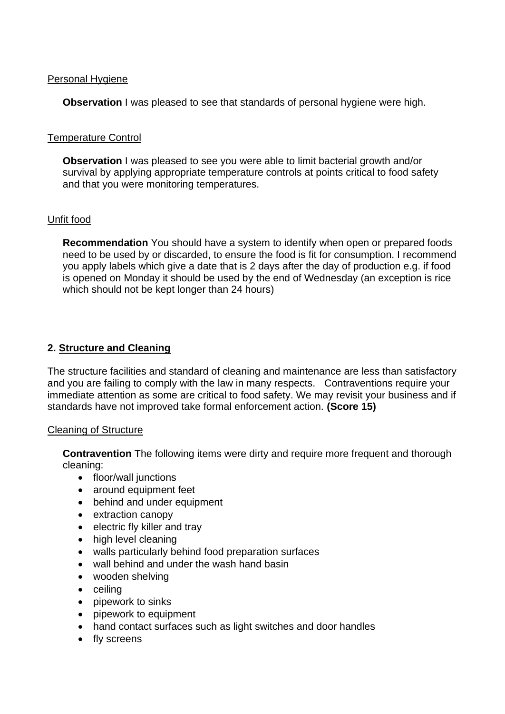## Personal Hygiene

**Observation** I was pleased to see that standards of personal hygiene were high.

## Temperature Control

**Observation** I was pleased to see you were able to limit bacterial growth and/or survival by applying appropriate temperature controls at points critical to food safety and that you were monitoring temperatures.

## Unfit food

**Recommendation** You should have a system to identify when open or prepared foods need to be used by or discarded, to ensure the food is fit for consumption. I recommend you apply labels which give a date that is 2 days after the day of production e.g. if food is opened on Monday it should be used by the end of Wednesday (an exception is rice which should not be kept longer than 24 hours)

## **2. Structure and Cleaning**

The structure facilities and standard of cleaning and maintenance are less than satisfactory and you are failing to comply with the law in many respects. Contraventions require your immediate attention as some are critical to food safety. We may revisit your business and if standards have not improved take formal enforcement action. **(Score 15)**

## Cleaning of Structure

**Contravention** The following items were dirty and require more frequent and thorough cleaning:

- floor/wall junctions
- around equipment feet
- behind and under equipment
- extraction canopy
- electric fly killer and tray
- high level cleaning
- walls particularly behind food preparation surfaces
- wall behind and under the wash hand basin
- wooden shelving
- ceiling
- pipework to sinks
- pipework to equipment
- hand contact surfaces such as light switches and door handles
- fly screens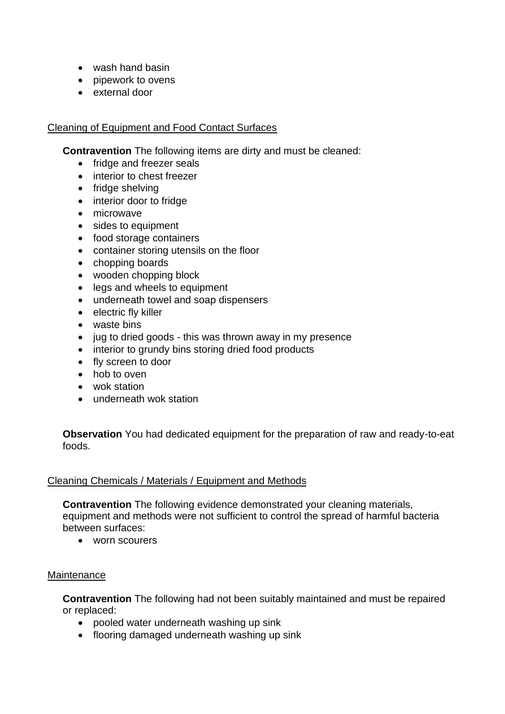- wash hand basin
- pipework to ovens
- external door

## Cleaning of Equipment and Food Contact Surfaces

**Contravention** The following items are dirty and must be cleaned:

- fridge and freezer seals
- interior to chest freezer
- fridge shelving
- interior door to fridge
- microwave
- sides to equipment
- food storage containers
- container storing utensils on the floor
- chopping boards
- wooden chopping block
- legs and wheels to equipment
- underneath towel and soap dispensers
- electric fly killer
- waste bins
- jug to dried goods this was thrown away in my presence
- interior to grundy bins storing dried food products
- fly screen to door
- hob to oven
- wok station
- underneath wok station

**Observation** You had dedicated equipment for the preparation of raw and ready-to-eat foods.

## Cleaning Chemicals / Materials / Equipment and Methods

**Contravention** The following evidence demonstrated your cleaning materials, equipment and methods were not sufficient to control the spread of harmful bacteria between surfaces:

• worn scourers

## **Maintenance**

**Contravention** The following had not been suitably maintained and must be repaired or replaced:

- pooled water underneath washing up sink
- flooring damaged underneath washing up sink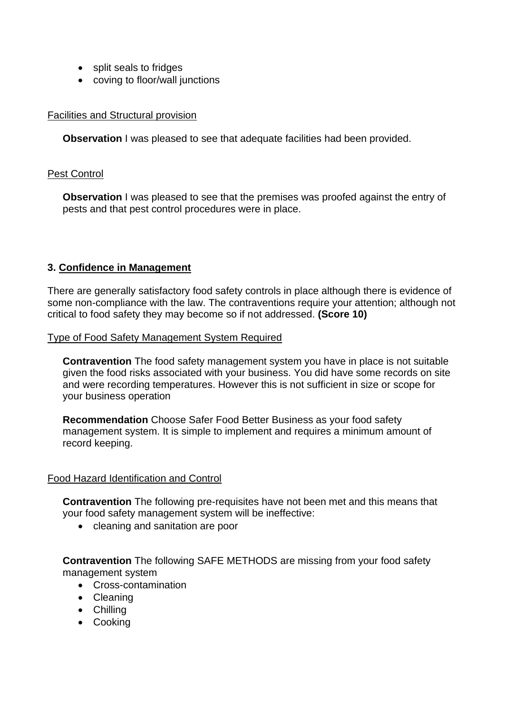- split seals to fridges
- coving to floor/wall junctions

## Facilities and Structural provision

**Observation** I was pleased to see that adequate facilities had been provided.

#### Pest Control

**Observation** I was pleased to see that the premises was proofed against the entry of pests and that pest control procedures were in place.

## **3. Confidence in Management**

There are generally satisfactory food safety controls in place although there is evidence of some non-compliance with the law. The contraventions require your attention; although not critical to food safety they may become so if not addressed. **(Score 10)**

#### Type of Food Safety Management System Required

**Contravention** The food safety management system you have in place is not suitable given the food risks associated with your business. You did have some records on site and were recording temperatures. However this is not sufficient in size or scope for your business operation

**Recommendation** Choose Safer Food Better Business as your food safety management system. It is simple to implement and requires a minimum amount of record keeping.

#### Food Hazard Identification and Control

**Contravention** The following pre-requisites have not been met and this means that your food safety management system will be ineffective:

• cleaning and sanitation are poor

**Contravention** The following SAFE METHODS are missing from your food safety management system

- Cross-contamination
- Cleaning
- Chilling
- Cooking